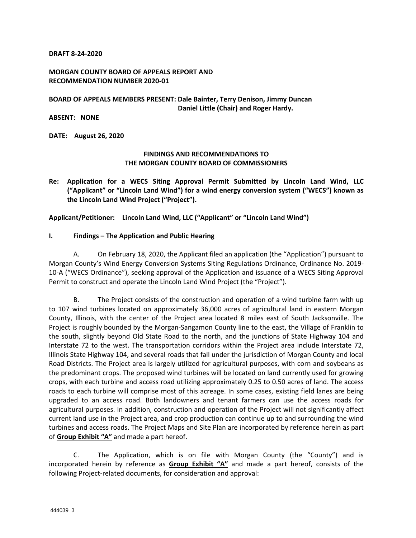#### **DRAFT 8‐24‐2020**

### **MORGAN COUNTY BOARD OF APPEALS REPORT AND RECOMMENDATION NUMBER 2020‐01**

### **BOARD OF APPEALS MEMBERS PRESENT: Dale Bainter, Terry Denison, Jimmy Duncan Daniel Little (Chair) and Roger Hardy.**

### **ABSENT: NONE**

**DATE: August 26, 2020** 

### **FINDINGS AND RECOMMENDATIONS TO THE MORGAN COUNTY BOARD OF COMMISSIONERS**

**Re: Application for a WECS Siting Approval Permit Submitted by Lincoln Land Wind, LLC ("Applicant" or "Lincoln Land Wind") for a wind energy conversion system ("WECS") known as the Lincoln Land Wind Project ("Project").** 

**Applicant/Petitioner: Lincoln Land Wind, LLC ("Applicant" or "Lincoln Land Wind")** 

#### **I. Findings – The Application and Public Hearing**

A. On February 18, 2020, the Applicant filed an application (the "Application") pursuant to Morgan County's Wind Energy Conversion Systems Siting Regulations Ordinance, Ordinance No. 2019‐ 10‐A ("WECS Ordinance"), seeking approval of the Application and issuance of a WECS Siting Approval Permit to construct and operate the Lincoln Land Wind Project (the "Project").

B. The Project consists of the construction and operation of a wind turbine farm with up to 107 wind turbines located on approximately 36,000 acres of agricultural land in eastern Morgan County, Illinois, with the center of the Project area located 8 miles east of South Jacksonville. The Project is roughly bounded by the Morgan‐Sangamon County line to the east, the Village of Franklin to the south, slightly beyond Old State Road to the north, and the junctions of State Highway 104 and Interstate 72 to the west. The transportation corridors within the Project area include Interstate 72, Illinois State Highway 104, and several roads that fall under the jurisdiction of Morgan County and local Road Districts. The Project area is largely utilized for agricultural purposes, with corn and soybeans as the predominant crops. The proposed wind turbines will be located on land currently used for growing crops, with each turbine and access road utilizing approximately 0.25 to 0.50 acres of land. The access roads to each turbine will comprise most of this acreage. In some cases, existing field lanes are being upgraded to an access road. Both landowners and tenant farmers can use the access roads for agricultural purposes. In addition, construction and operation of the Project will not significantly affect current land use in the Project area, and crop production can continue up to and surrounding the wind turbines and access roads. The Project Maps and Site Plan are incorporated by reference herein as part of **Group Exhibit "A"** and made a part hereof.

C. The Application, which is on file with Morgan County (the "County") and is incorporated herein by reference as **Group Exhibit "A"** and made a part hereof, consists of the following Project‐related documents, for consideration and approval: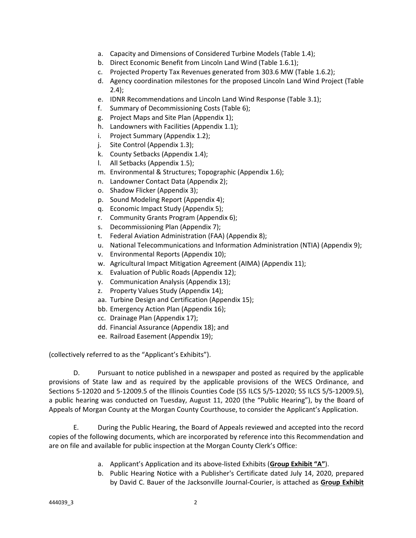- a. Capacity and Dimensions of Considered Turbine Models (Table 1.4);
- b. Direct Economic Benefit from Lincoln Land Wind (Table 1.6.1);
- c. Projected Property Tax Revenues generated from 303.6 MW (Table 1.6.2);
- d. Agency coordination milestones for the proposed Lincoln Land Wind Project (Table 2.4);
- e. IDNR Recommendations and Lincoln Land Wind Response (Table 3.1);
- f. Summary of Decommissioning Costs (Table 6);
- g. Project Maps and Site Plan (Appendix 1);
- h. Landowners with Facilities (Appendix 1.1);
- i. Project Summary (Appendix 1.2);
- j. Site Control (Appendix 1.3);
- k. County Setbacks (Appendix 1.4);
- l. All Setbacks (Appendix 1.5);
- m. Environmental & Structures; Topographic (Appendix 1.6);
- n. Landowner Contact Data (Appendix 2);
- o. Shadow Flicker (Appendix 3);
- p. Sound Modeling Report (Appendix 4);
- q. Economic Impact Study (Appendix 5);
- r. Community Grants Program (Appendix 6);
- s. Decommissioning Plan (Appendix 7);
- t. Federal Aviation Administration (FAA) (Appendix 8);
- u. National Telecommunications and Information Administration (NTIA) (Appendix 9);
- v. Environmental Reports (Appendix 10);
- w. Agricultural Impact Mitigation Agreement (AIMA) (Appendix 11);
- x. Evaluation of Public Roads (Appendix 12);
- y. Communication Analysis (Appendix 13);
- z. Property Values Study (Appendix 14);
- aa. Turbine Design and Certification (Appendix 15);
- bb. Emergency Action Plan (Appendix 16);
- cc. Drainage Plan (Appendix 17);
- dd. Financial Assurance (Appendix 18); and
- ee. Railroad Easement (Appendix 19);

(collectively referred to as the "Applicant's Exhibits").

D. Pursuant to notice published in a newspaper and posted as required by the applicable provisions of State law and as required by the applicable provisions of the WECS Ordinance, and Sections 5‐12020 and 5‐12009.5 of the Illinois Counties Code (55 ILCS 5/5‐12020; 55 ILCS 5/5‐12009.5), a public hearing was conducted on Tuesday, August 11, 2020 (the "Public Hearing"), by the Board of Appeals of Morgan County at the Morgan County Courthouse, to consider the Applicant's Application.

E. During the Public Hearing, the Board of Appeals reviewed and accepted into the record copies of the following documents, which are incorporated by reference into this Recommendation and are on file and available for public inspection at the Morgan County Clerk's Office:

- a. Applicant's Application and its above‐listed Exhibits (**Group Exhibit "A"**).
- b. Public Hearing Notice with a Publisher's Certificate dated July 14, 2020, prepared by David C. Bauer of the Jacksonville Journal‐Courier, is attached as **Group Exhibit**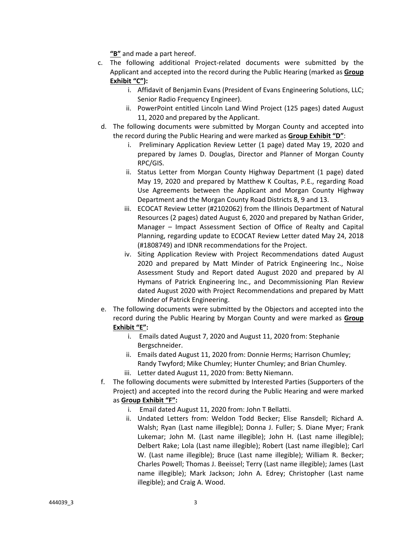**"B"** and made a part hereof.

- c. The following additional Project‐related documents were submitted by the Applicant and accepted into the record during the Public Hearing (marked as **Group Exhibit "C"):**
	- i. Affidavit of Benjamin Evans (President of Evans Engineering Solutions, LLC; Senior Radio Frequency Engineer).
	- ii. PowerPoint entitled Lincoln Land Wind Project (125 pages) dated August 11, 2020 and prepared by the Applicant.
- d. The following documents were submitted by Morgan County and accepted into the record during the Public Hearing and were marked as **Group Exhibit "D"**:
	- i. Preliminary Application Review Letter (1 page) dated May 19, 2020 and prepared by James D. Douglas, Director and Planner of Morgan County RPC/GIS.
	- ii. Status Letter from Morgan County Highway Department (1 page) dated May 19, 2020 and prepared by Matthew K Coultas, P.E., regarding Road Use Agreements between the Applicant and Morgan County Highway Department and the Morgan County Road Districts 8, 9 and 13.
	- iii. ECOCAT Review Letter (#2102062) from the Illinois Department of Natural Resources (2 pages) dated August 6, 2020 and prepared by Nathan Grider, Manager – Impact Assessment Section of Office of Realty and Capital Planning, regarding update to ECOCAT Review Letter dated May 24, 2018 (#1808749) and IDNR recommendations for the Project.
	- iv. Siting Application Review with Project Recommendations dated August 2020 and prepared by Matt Minder of Patrick Engineering Inc., Noise Assessment Study and Report dated August 2020 and prepared by Al Hymans of Patrick Engineering Inc., and Decommissioning Plan Review dated August 2020 with Project Recommendations and prepared by Matt Minder of Patrick Engineering.
- e. The following documents were submitted by the Objectors and accepted into the record during the Public Hearing by Morgan County and were marked as **Group Exhibit "E":**
	- i. Emails dated August 7, 2020 and August 11, 2020 from: Stephanie Bergschneider.
	- ii. Emails dated August 11, 2020 from: Donnie Herms; Harrison Chumley; Randy Twyford; Mike Chumley; Hunter Chumley; and Brian Chumley.
	- iii. Letter dated August 11, 2020 from: Betty Niemann.
- f. The following documents were submitted by Interested Parties (Supporters of the Project) and accepted into the record during the Public Hearing and were marked as **Group Exhibit "F":**
	- i. Email dated August 11, 2020 from: John T Bellatti.
	- ii. Undated Letters from: Weldon Todd Becker; Elise Ransdell; Richard A. Walsh; Ryan (Last name illegible); Donna J. Fuller; S. Diane Myer; Frank Lukemar; John M. (Last name illegible); John H. (Last name illegible); Delbert Rake; Lola (Last name illegible); Robert (Last name illegible); Carl W. (Last name illegible); Bruce (Last name illegible); William R. Becker; Charles Powell; Thomas J. Beeissel; Terry (Last name illegible); James (Last name illegible); Mark Jackson; John A. Edrey; Christopher (Last name illegible); and Craig A. Wood.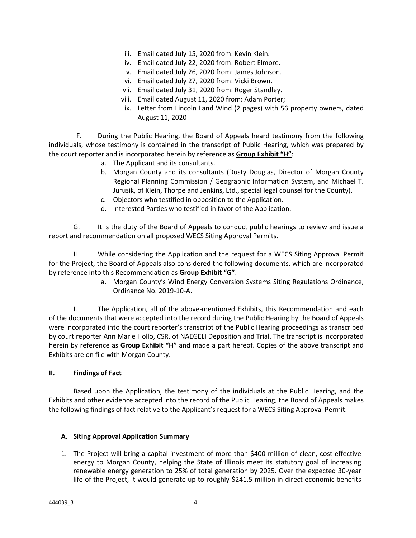- iii. Email dated July 15, 2020 from: Kevin Klein.
- iv. Email dated July 22, 2020 from: Robert Elmore.
- v. Email dated July 26, 2020 from: James Johnson.
- vi. Email dated July 27, 2020 from: Vicki Brown.
- vii. Email dated July 31, 2020 from: Roger Standley.
- viii. Email dated August 11, 2020 from: Adam Porter;
- ix. Letter from Lincoln Land Wind (2 pages) with 56 property owners, dated August 11, 2020

F. During the Public Hearing, the Board of Appeals heard testimony from the following individuals, whose testimony is contained in the transcript of Public Hearing, which was prepared by the court reporter and is incorporated herein by reference as **Group Exhibit "H"**:

- a. The Applicant and its consultants.
- b. Morgan County and its consultants (Dusty Douglas, Director of Morgan County Regional Planning Commission / Geographic Information System, and Michael T. Jurusik, of Klein, Thorpe and Jenkins, Ltd., special legal counsel for the County).
- c. Objectors who testified in opposition to the Application.
- d. Interested Parties who testified in favor of the Application.

G. It is the duty of the Board of Appeals to conduct public hearings to review and issue a report and recommendation on all proposed WECS Siting Approval Permits.

H. While considering the Application and the request for a WECS Siting Approval Permit for the Project, the Board of Appeals also considered the following documents, which are incorporated by reference into this Recommendation as **Group Exhibit "G"**:

> a. Morgan County's Wind Energy Conversion Systems Siting Regulations Ordinance, Ordinance No. 2019‐10‐A.

I. The Application, all of the above-mentioned Exhibits, this Recommendation and each of the documents that were accepted into the record during the Public Hearing by the Board of Appeals were incorporated into the court reporter's transcript of the Public Hearing proceedings as transcribed by court reporter Ann Marie Hollo, CSR, of NAEGELI Deposition and Trial. The transcript is incorporated herein by reference as **Group Exhibit "H"** and made a part hereof. Copies of the above transcript and Exhibits are on file with Morgan County.

### **II. Findings of Fact**

Based upon the Application, the testimony of the individuals at the Public Hearing, and the Exhibits and other evidence accepted into the record of the Public Hearing, the Board of Appeals makes the following findings of fact relative to the Applicant's request for a WECS Siting Approval Permit.

### **A. Siting Approval Application Summary**

1. The Project will bring a capital investment of more than \$400 million of clean, cost‐effective energy to Morgan County, helping the State of Illinois meet its statutory goal of increasing renewable energy generation to 25% of total generation by 2025. Over the expected 30‐year life of the Project, it would generate up to roughly \$241.5 million in direct economic benefits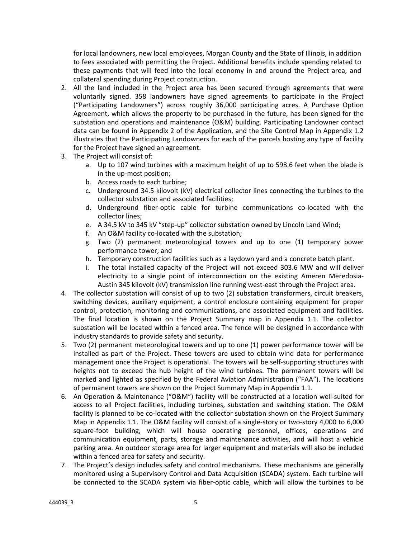for local landowners, new local employees, Morgan County and the State of Illinois, in addition to fees associated with permitting the Project. Additional benefits include spending related to these payments that will feed into the local economy in and around the Project area, and collateral spending during Project construction.

- 2. All the land included in the Project area has been secured through agreements that were voluntarily signed. 358 landowners have signed agreements to participate in the Project ("Participating Landowners") across roughly 36,000 participating acres. A Purchase Option Agreement, which allows the property to be purchased in the future, has been signed for the substation and operations and maintenance (O&M) building. Participating Landowner contact data can be found in Appendix 2 of the Application, and the Site Control Map in Appendix 1.2 illustrates that the Participating Landowners for each of the parcels hosting any type of facility for the Project have signed an agreement.
- 3. The Project will consist of:
	- a. Up to 107 wind turbines with a maximum height of up to 598.6 feet when the blade is in the up‐most position;
	- b. Access roads to each turbine;
	- c. Underground 34.5 kilovolt (kV) electrical collector lines connecting the turbines to the collector substation and associated facilities;
	- d. Underground fiber‐optic cable for turbine communications co‐located with the collector lines;
	- e. A 34.5 kV to 345 kV "step-up" collector substation owned by Lincoln Land Wind;
	- f. An O&M facility co-located with the substation;
	- g. Two (2) permanent meteorological towers and up to one (1) temporary power performance tower; and
	- h. Temporary construction facilities such as a laydown yard and a concrete batch plant.
	- i. The total installed capacity of the Project will not exceed 303.6 MW and will deliver electricity to a single point of interconnection on the existing Ameren Meredosia-Austin 345 kilovolt (kV) transmission line running west‐east through the Project area.
- 4. The collector substation will consist of up to two (2) substation transformers, circuit breakers, switching devices, auxiliary equipment, a control enclosure containing equipment for proper control, protection, monitoring and communications, and associated equipment and facilities. The final location is shown on the Project Summary map in Appendix 1.1. The collector substation will be located within a fenced area. The fence will be designed in accordance with industry standards to provide safety and security.
- 5. Two (2) permanent meteorological towers and up to one (1) power performance tower will be installed as part of the Project. These towers are used to obtain wind data for performance management once the Project is operational. The towers will be self-supporting structures with heights not to exceed the hub height of the wind turbines. The permanent towers will be marked and lighted as specified by the Federal Aviation Administration ("FAA"). The locations of permanent towers are shown on the Project Summary Map in Appendix 1.1.
- 6. An Operation & Maintenance ("O&M") facility will be constructed at a location well‐suited for access to all Project facilities, including turbines, substation and switching station. The O&M facility is planned to be co-located with the collector substation shown on the Project Summary Map in Appendix 1.1. The O&M facility will consist of a single-story or two-story 4,000 to 6,000 square-foot building, which will house operating personnel, offices, operations and communication equipment, parts, storage and maintenance activities, and will host a vehicle parking area. An outdoor storage area for larger equipment and materials will also be included within a fenced area for safety and security.
- 7. The Project's design includes safety and control mechanisms. These mechanisms are generally monitored using a Supervisory Control and Data Acquisition (SCADA) system. Each turbine will be connected to the SCADA system via fiber-optic cable, which will allow the turbines to be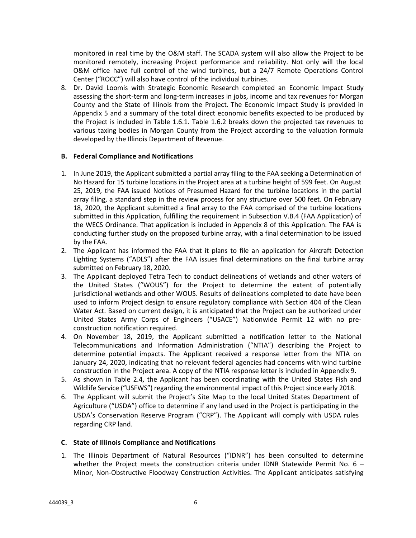monitored in real time by the O&M staff. The SCADA system will also allow the Project to be monitored remotely, increasing Project performance and reliability. Not only will the local O&M office have full control of the wind turbines, but a 24/7 Remote Operations Control Center ("ROCC") will also have control of the individual turbines.

8. Dr. David Loomis with Strategic Economic Research completed an Economic Impact Study assessing the short‐term and long‐term increases in jobs, income and tax revenues for Morgan County and the State of Illinois from the Project. The Economic Impact Study is provided in Appendix 5 and a summary of the total direct economic benefits expected to be produced by the Project is included in Table 1.6.1. Table 1.6.2 breaks down the projected tax revenues to various taxing bodies in Morgan County from the Project according to the valuation formula developed by the Illinois Department of Revenue.

### **B. Federal Compliance and Notifications**

- 1. In June 2019, the Applicant submitted a partial array filing to the FAA seeking a Determination of No Hazard for 15 turbine locations in the Project area at a turbine height of 599 feet. On August 25, 2019, the FAA issued Notices of Presumed Hazard for the turbine locations in the partial array filing, a standard step in the review process for any structure over 500 feet. On February 18, 2020, the Applicant submitted a final array to the FAA comprised of the turbine locations submitted in this Application, fulfilling the requirement in Subsection V.B.4 (FAA Application) of the WECS Ordinance. That application is included in Appendix 8 of this Application. The FAA is conducting further study on the proposed turbine array, with a final determination to be issued by the FAA.
- 2. The Applicant has informed the FAA that it plans to file an application for Aircraft Detection Lighting Systems ("ADLS") after the FAA issues final determinations on the final turbine array submitted on February 18, 2020.
- 3. The Applicant deployed Tetra Tech to conduct delineations of wetlands and other waters of the United States ("WOUS") for the Project to determine the extent of potentially jurisdictional wetlands and other WOUS. Results of delineations completed to date have been used to inform Project design to ensure regulatory compliance with Section 404 of the Clean Water Act. Based on current design, it is anticipated that the Project can be authorized under United States Army Corps of Engineers ("USACE") Nationwide Permit 12 with no pre‐ construction notification required.
- 4. On November 18, 2019, the Applicant submitted a notification letter to the National Telecommunications and Information Administration ("NTIA") describing the Project to determine potential impacts. The Applicant received a response letter from the NTIA on January 24, 2020, indicating that no relevant federal agencies had concerns with wind turbine construction in the Project area. A copy of the NTIA response letter is included in Appendix 9.
- 5. As shown in Table 2.4, the Applicant has been coordinating with the United States Fish and Wildlife Service ("USFWS") regarding the environmental impact of this Project since early 2018.
- 6. The Applicant will submit the Project's Site Map to the local United States Department of Agriculture ("USDA") office to determine if any land used in the Project is participating in the USDA's Conservation Reserve Program ("CRP"). The Applicant will comply with USDA rules regarding CRP land.

### **C. State of Illinois Compliance and Notifications**

1. The Illinois Department of Natural Resources ("IDNR") has been consulted to determine whether the Project meets the construction criteria under IDNR Statewide Permit No.  $6 -$ Minor, Non‐Obstructive Floodway Construction Activities. The Applicant anticipates satisfying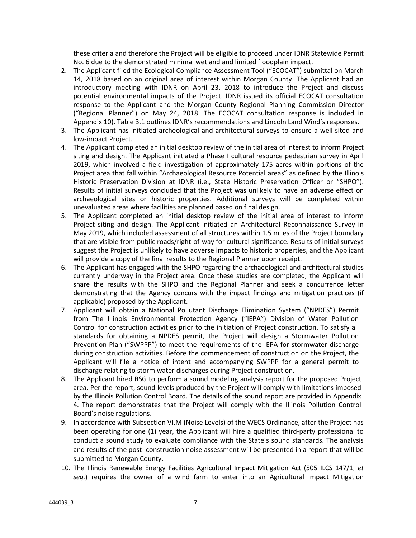these criteria and therefore the Project will be eligible to proceed under IDNR Statewide Permit No. 6 due to the demonstrated minimal wetland and limited floodplain impact.

- 2. The Applicant filed the Ecological Compliance Assessment Tool ("ECOCAT") submittal on March 14, 2018 based on an original area of interest within Morgan County. The Applicant had an introductory meeting with IDNR on April 23, 2018 to introduce the Project and discuss potential environmental impacts of the Project. IDNR issued its official ECOCAT consultation response to the Applicant and the Morgan County Regional Planning Commission Director ("Regional Planner") on May 24, 2018. The ECOCAT consultation response is included in Appendix 10). Table 3.1 outlines IDNR's recommendations and Lincoln Land Wind's responses.
- 3. The Applicant has initiated archeological and architectural surveys to ensure a well‐sited and low‐impact Project.
- 4. The Applicant completed an initial desktop review of the initial area of interest to inform Project siting and design. The Applicant initiated a Phase I cultural resource pedestrian survey in April 2019, which involved a field investigation of approximately 175 acres within portions of the Project area that fall within "Archaeological Resource Potential areas" as defined by the Illinois Historic Preservation Division at IDNR (i.e., State Historic Preservation Officer or "SHPO"). Results of initial surveys concluded that the Project was unlikely to have an adverse effect on archaeological sites or historic properties. Additional surveys will be completed within unevaluated areas where facilities are planned based on final design.
- 5. The Applicant completed an initial desktop review of the initial area of interest to inform Project siting and design. The Applicant initiated an Architectural Reconnaissance Survey in May 2019, which included assessment of all structures within 1.5 miles of the Project boundary that are visible from public roads/right‐of‐way for cultural significance. Results of initial surveys suggest the Project is unlikely to have adverse impacts to historic properties, and the Applicant will provide a copy of the final results to the Regional Planner upon receipt.
- 6. The Applicant has engaged with the SHPO regarding the archaeological and architectural studies currently underway in the Project area. Once these studies are completed, the Applicant will share the results with the SHPO and the Regional Planner and seek a concurrence letter demonstrating that the Agency concurs with the impact findings and mitigation practices (if applicable) proposed by the Applicant.
- 7. Applicant will obtain a National Pollutant Discharge Elimination System ("NPDES") Permit from The Illinois Environmental Protection Agency ("IEPA") Division of Water Pollution Control for construction activities prior to the initiation of Project construction. To satisfy all standards for obtaining a NPDES permit, the Project will design a Stormwater Pollution Prevention Plan ("SWPPP") to meet the requirements of the IEPA for stormwater discharge during construction activities. Before the commencement of construction on the Project, the Applicant will file a notice of intent and accompanying SWPPP for a general permit to discharge relating to storm water discharges during Project construction.
- 8. The Applicant hired RSG to perform a sound modeling analysis report for the proposed Project area. Per the report, sound levels produced by the Project will comply with limitations imposed by the Illinois Pollution Control Board. The details of the sound report are provided in Appendix 4. The report demonstrates that the Project will comply with the Illinois Pollution Control Board's noise regulations.
- 9. In accordance with Subsection VI.M (Noise Levels) of the WECS Ordinance, after the Project has been operating for one (1) year, the Applicant will hire a qualified third-party professional to conduct a sound study to evaluate compliance with the State's sound standards. The analysis and results of the post- construction noise assessment will be presented in a report that will be submitted to Morgan County.
- 10. The Illinois Renewable Energy Facilities Agricultural Impact Mitigation Act (505 ILCS 147/1, *et seq.*) requires the owner of a wind farm to enter into an Agricultural Impact Mitigation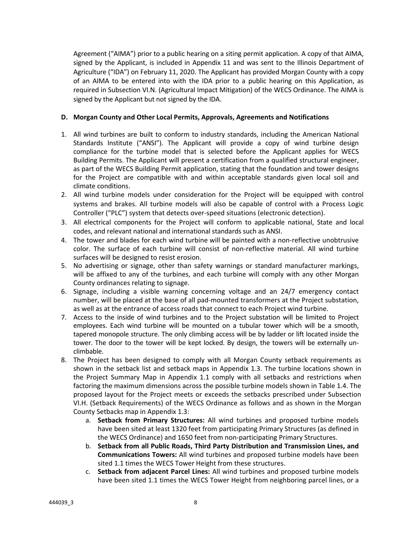Agreement ("AIMA") prior to a public hearing on a siting permit application. A copy of that AIMA, signed by the Applicant, is included in Appendix 11 and was sent to the Illinois Department of Agriculture ("IDA") on February 11, 2020. The Applicant has provided Morgan County with a copy of an AIMA to be entered into with the IDA prior to a public hearing on this Application, as required in Subsection VI.N. (Agricultural Impact Mitigation) of the WECS Ordinance. The AIMA is signed by the Applicant but not signed by the IDA.

## **D. Morgan County and Other Local Permits, Approvals, Agreements and Notifications**

- 1. All wind turbines are built to conform to industry standards, including the American National Standards Institute ("ANSI"). The Applicant will provide a copy of wind turbine design compliance for the turbine model that is selected before the Applicant applies for WECS Building Permits. The Applicant will present a certification from a qualified structural engineer, as part of the WECS Building Permit application, stating that the foundation and tower designs for the Project are compatible with and within acceptable standards given local soil and climate conditions.
- 2. All wind turbine models under consideration for the Project will be equipped with control systems and brakes. All turbine models will also be capable of control with a Process Logic Controller ("PLC") system that detects over‐speed situations (electronic detection).
- 3. All electrical components for the Project will conform to applicable national, State and local codes, and relevant national and international standards such as ANSI.
- 4. The tower and blades for each wind turbine will be painted with a non-reflective unobtrusive color. The surface of each turbine will consist of non-reflective material. All wind turbine surfaces will be designed to resist erosion.
- 5. No advertising or signage, other than safety warnings or standard manufacturer markings, will be affixed to any of the turbines, and each turbine will comply with any other Morgan County ordinances relating to signage.
- 6. Signage, including a visible warning concerning voltage and an 24/7 emergency contact number, will be placed at the base of all pad‐mounted transformers at the Project substation, as well as at the entrance of access roads that connect to each Project wind turbine.
- 7. Access to the inside of wind turbines and to the Project substation will be limited to Project employees. Each wind turbine will be mounted on a tubular tower which will be a smooth, tapered monopole structure. The only climbing access will be by ladder or lift located inside the tower. The door to the tower will be kept locked. By design, the towers will be externally unclimbable.
- 8. The Project has been designed to comply with all Morgan County setback requirements as shown in the setback list and setback maps in Appendix 1.3. The turbine locations shown in the Project Summary Map in Appendix 1.1 comply with all setbacks and restrictions when factoring the maximum dimensions across the possible turbine models shown in Table 1.4. The proposed layout for the Project meets or exceeds the setbacks prescribed under Subsection VI.H. (Setback Requirements) of the WECS Ordinance as follows and as shown in the Morgan County Setbacks map in Appendix 1.3:
	- a. **Setback from Primary Structures:**  All wind turbines and proposed turbine models have been sited at least 1320 feet from participating Primary Structures (as defined in the WECS Ordinance) and 1650 feet from non‐participating Primary Structures.
	- b. **Setback from all Public Roads, Third Party Distribution and Transmission Lines, and Communications Towers:** All wind turbines and proposed turbine models have been sited 1.1 times the WECS Tower Height from these structures.
	- c. **Setback from adjacent Parcel Lines:** All wind turbines and proposed turbine models have been sited 1.1 times the WECS Tower Height from neighboring parcel lines, or a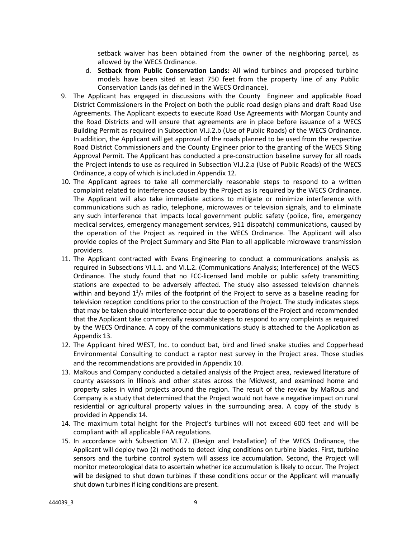setback waiver has been obtained from the owner of the neighboring parcel, as allowed by the WECS Ordinance.

- d. **Setback from Public Conservation Lands:**  All wind turbines and proposed turbine models have been sited at least 750 feet from the property line of any Public Conservation Lands (as defined in the WECS Ordinance).
- 9. The Applicant has engaged in discussions with the County Engineer and applicable Road District Commissioners in the Project on both the public road design plans and draft Road Use Agreements. The Applicant expects to execute Road Use Agreements with Morgan County and the Road Districts and will ensure that agreements are in place before issuance of a WECS Building Permit as required in Subsection VI.J.2.b (Use of Public Roads) of the WECS Ordinance. In addition, the Applicant will get approval of the roads planned to be used from the respective Road District Commissioners and the County Engineer prior to the granting of the WECS Siting Approval Permit. The Applicant has conducted a pre‐construction baseline survey for all roads the Project intends to use as required in Subsection VI.J.2.a (Use of Public Roads) of the WECS Ordinance, a copy of which is included in Appendix 12.
- 10. The Applicant agrees to take all commercially reasonable steps to respond to a written complaint related to interference caused by the Project as is required by the WECS Ordinance. The Applicant will also take immediate actions to mitigate or minimize interference with communications such as radio, telephone, microwaves or television signals, and to eliminate any such interference that impacts local government public safety (police, fire, emergency medical services, emergency management services, 911 dispatch) communications, caused by the operation of the Project as required in the WECS Ordinance. The Applicant will also provide copies of the Project Summary and Site Plan to all applicable microwave transmission providers.
- 11. The Applicant contracted with Evans Engineering to conduct a communications analysis as required in Subsections VI.L.1. and VI.L.2. (Communications Analysis; Interference) of the WECS Ordinance. The study found that no FCC-licensed land mobile or public safety transmitting stations are expected to be adversely affected. The study also assessed television channels within and beyond  $1<sup>1</sup>/<sub>2</sub>$  miles of the footprint of the Project to serve as a baseline reading for television reception conditions prior to the construction of the Project. The study indicates steps that may be taken should interference occur due to operations of the Project and recommended that the Applicant take commercially reasonable steps to respond to any complaints as required by the WECS Ordinance. A copy of the communications study is attached to the Application as Appendix 13.
- 12. The Applicant hired WEST, Inc. to conduct bat, bird and lined snake studies and Copperhead Environmental Consulting to conduct a raptor nest survey in the Project area. Those studies and the recommendations are provided in Appendix 10.
- 13. MaRous and Company conducted a detailed analysis of the Project area, reviewed literature of county assessors in Illinois and other states across the Midwest, and examined home and property sales in wind projects around the region. The result of the review by MaRous and Company is a study that determined that the Project would not have a negative impact on rural residential or agricultural property values in the surrounding area. A copy of the study is provided in Appendix 14.
- 14. The maximum total height for the Project's turbines will not exceed 600 feet and will be compliant with all applicable FAA regulations.
- 15. In accordance with Subsection VI.T.7. (Design and Installation) of the WECS Ordinance, the Applicant will deploy two (2) methods to detect icing conditions on turbine blades. First, turbine sensors and the turbine control system will assess ice accumulation. Second, the Project will monitor meteorological data to ascertain whether ice accumulation is likely to occur. The Project will be designed to shut down turbines if these conditions occur or the Applicant will manually shut down turbines if icing conditions are present.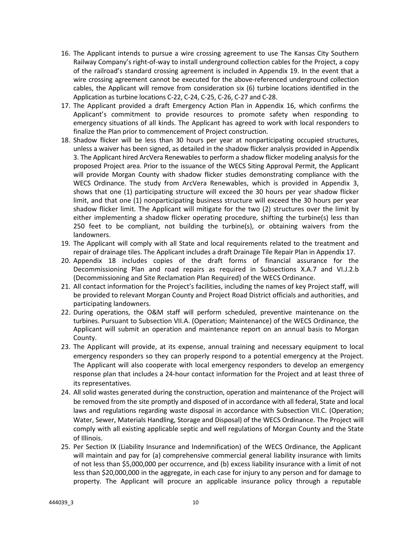- 16. The Applicant intends to pursue a wire crossing agreement to use The Kansas City Southern Railway Company's right‐of‐way to install underground collection cables for the Project, a copy of the railroad's standard crossing agreement is included in Appendix 19. In the event that a wire crossing agreement cannot be executed for the above-referenced underground collection cables, the Applicant will remove from consideration six (6) turbine locations identified in the Application as turbine locations C‐22, C‐24, C‐25, C‐26, C‐27 and C‐28.
- 17. The Applicant provided a draft Emergency Action Plan in Appendix 16, which confirms the Applicant's commitment to provide resources to promote safety when responding to emergency situations of all kinds. The Applicant has agreed to work with local responders to finalize the Plan prior to commencement of Project construction.
- 18. Shadow flicker will be less than 30 hours per year at nonparticipating occupied structures, unless a waiver has been signed, as detailed in the shadow flicker analysis provided in Appendix 3. The Applicant hired ArcVera Renewables to perform a shadow flicker modeling analysis for the proposed Project area. Prior to the issuance of the WECS Siting Approval Permit, the Applicant will provide Morgan County with shadow flicker studies demonstrating compliance with the WECS Ordinance. The study from ArcVera Renewables, which is provided in Appendix 3, shows that one (1) participating structure will exceed the 30 hours per year shadow flicker limit, and that one (1) nonparticipating business structure will exceed the 30 hours per year shadow flicker limit. The Applicant will mitigate for the two (2) structures over the limit by either implementing a shadow flicker operating procedure, shifting the turbine(s) less than 250 feet to be compliant, not building the turbine(s), or obtaining waivers from the landowners.
- 19. The Applicant will comply with all State and local requirements related to the treatment and repair of drainage tiles. The Applicant includes a draft Drainage Tile Repair Plan in Appendix 17.
- 20. Appendix 18 includes copies of the draft forms of financial assurance for the Decommissioning Plan and road repairs as required in Subsections X.A.7 and VI.J.2.b (Decommissioning and Site Reclamation Plan Required) of the WECS Ordinance.
- 21. All contact information for the Project's facilities, including the names of key Project staff, will be provided to relevant Morgan County and Project Road District officials and authorities, and participating landowners.
- 22. During operations, the O&M staff will perform scheduled, preventive maintenance on the turbines. Pursuant to Subsection VII.A. (Operation; Maintenance) of the WECS Ordinance, the Applicant will submit an operation and maintenance report on an annual basis to Morgan County.
- 23. The Applicant will provide, at its expense, annual training and necessary equipment to local emergency responders so they can properly respond to a potential emergency at the Project. The Applicant will also cooperate with local emergency responders to develop an emergency response plan that includes a 24‐hour contact information for the Project and at least three of its representatives.
- 24. All solid wastes generated during the construction, operation and maintenance of the Project will be removed from the site promptly and disposed of in accordance with all federal, State and local laws and regulations regarding waste disposal in accordance with Subsection VII.C. (Operation; Water, Sewer, Materials Handling, Storage and Disposal) of the WECS Ordinance. The Project will comply with all existing applicable septic and well regulations of Morgan County and the State of Illinois.
- 25. Per Section IX (Liability Insurance and Indemnification) of the WECS Ordinance, the Applicant will maintain and pay for (a) comprehensive commercial general liability insurance with limits of not less than \$5,000,000 per occurrence, and (b) excess liability insurance with a limit of not less than \$20,000,000 in the aggregate, in each case for injury to any person and for damage to property. The Applicant will procure an applicable insurance policy through a reputable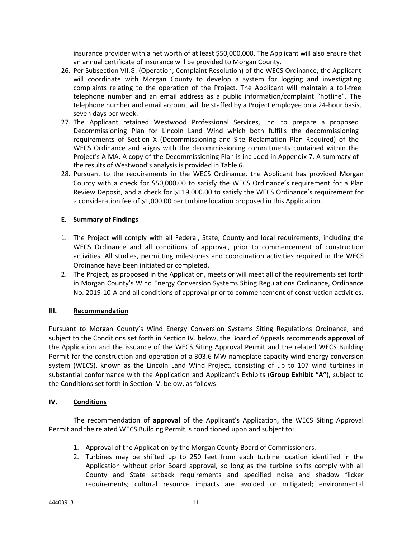insurance provider with a net worth of at least \$50,000,000. The Applicant will also ensure that an annual certificate of insurance will be provided to Morgan County.

- 26. Per Subsection VII.G. (Operation; Complaint Resolution) of the WECS Ordinance, the Applicant will coordinate with Morgan County to develop a system for logging and investigating complaints relating to the operation of the Project. The Applicant will maintain a toll‐free telephone number and an email address as a public information/complaint "hotline". The telephone number and email account will be staffed by a Project employee on a 24‐hour basis, seven days per week.
- 27. The Applicant retained Westwood Professional Services, Inc. to prepare a proposed Decommissioning Plan for Lincoln Land Wind which both fulfills the decommissioning requirements of Section X (Decommissioning and Site Reclamation Plan Required) of the WECS Ordinance and aligns with the decommissioning commitments contained within the Project's AIMA. A copy of the Decommissioning Plan is included in Appendix 7. A summary of the results of Westwood's analysis is provided in Table 6.
- 28. Pursuant to the requirements in the WECS Ordinance, the Applicant has provided Morgan County with a check for \$50,000.00 to satisfy the WECS Ordinance's requirement for a Plan Review Deposit, and a check for \$119,000.00 to satisfy the WECS Ordinance's requirement for a consideration fee of \$1,000.00 per turbine location proposed in this Application.

### **E. Summary of Findings**

- 1. The Project will comply with all Federal, State, County and local requirements, including the WECS Ordinance and all conditions of approval, prior to commencement of construction activities. All studies, permitting milestones and coordination activities required in the WECS Ordinance have been initiated or completed.
- 2. The Project, as proposed in the Application, meets or will meet all of the requirements set forth in Morgan County's Wind Energy Conversion Systems Siting Regulations Ordinance, Ordinance No. 2019-10-A and all conditions of approval prior to commencement of construction activities.

### **III. Recommendation**

Pursuant to Morgan County's Wind Energy Conversion Systems Siting Regulations Ordinance, and subject to the Conditions set forth in Section IV. below, the Board of Appeals recommends **approval** of the Application and the issuance of the WECS Siting Approval Permit and the related WECS Building Permit for the construction and operation of a 303.6 MW nameplate capacity wind energy conversion system (WECS), known as the Lincoln Land Wind Project, consisting of up to 107 wind turbines in substantial conformance with the Application and Applicant's Exhibits (**Group Exhibit "A"**), subject to the Conditions set forth in Section IV. below, as follows:

### **IV. Conditions**

The recommendation of **approval** of the Applicant's Application, the WECS Siting Approval Permit and the related WECS Building Permit is conditioned upon and subject to:

- 1. Approval of the Application by the Morgan County Board of Commissioners.
- 2. Turbines may be shifted up to 250 feet from each turbine location identified in the Application without prior Board approval, so long as the turbine shifts comply with all County and State setback requirements and specified noise and shadow flicker requirements; cultural resource impacts are avoided or mitigated; environmental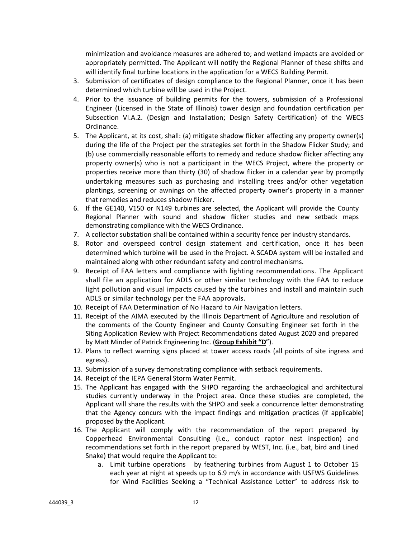minimization and avoidance measures are adhered to; and wetland impacts are avoided or appropriately permitted. The Applicant will notify the Regional Planner of these shifts and will identify final turbine locations in the application for a WECS Building Permit.

- 3. Submission of certificates of design compliance to the Regional Planner, once it has been determined which turbine will be used in the Project.
- 4. Prior to the issuance of building permits for the towers, submission of a Professional Engineer (Licensed in the State of Illinois) tower design and foundation certification per Subsection VI.A.2. (Design and Installation; Design Safety Certification) of the WECS Ordinance.
- 5. The Applicant, at its cost, shall: (a) mitigate shadow flicker affecting any property owner(s) during the life of the Project per the strategies set forth in the Shadow Flicker Study; and (b) use commercially reasonable efforts to remedy and reduce shadow flicker affecting any property owner(s) who is not a participant in the WECS Project, where the property or properties receive more than thirty (30) of shadow flicker in a calendar year by promptly undertaking measures such as purchasing and installing trees and/or other vegetation plantings, screening or awnings on the affected property owner's property in a manner that remedies and reduces shadow flicker.
- 6. If the GE140, V150 or N149 turbines are selected, the Applicant will provide the County Regional Planner with sound and shadow flicker studies and new setback maps demonstrating compliance with the WECS Ordinance.
- 7. A collector substation shall be contained within a security fence per industry standards.
- 8. Rotor and overspeed control design statement and certification, once it has been determined which turbine will be used in the Project. A SCADA system will be installed and maintained along with other redundant safety and control mechanisms.
- 9. Receipt of FAA letters and compliance with lighting recommendations. The Applicant shall file an application for ADLS or other similar technology with the FAA to reduce light pollution and visual impacts caused by the turbines and install and maintain such ADLS or similar technology per the FAA approvals.
- 10. Receipt of FAA Determination of No Hazard to Air Navigation letters.
- 11. Receipt of the AIMA executed by the Illinois Department of Agriculture and resolution of the comments of the County Engineer and County Consulting Engineer set forth in the Siting Application Review with Project Recommendations dated August 2020 and prepared by Matt Minder of Patrick Engineering Inc. (**Group Exhibit "D**").
- 12. Plans to reflect warning signs placed at tower access roads (all points of site ingress and egress).
- 13. Submission of a survey demonstrating compliance with setback requirements.
- 14. Receipt of the IEPA General Storm Water Permit.
- 15. The Applicant has engaged with the SHPO regarding the archaeological and architectural studies currently underway in the Project area. Once these studies are completed, the Applicant will share the results with the SHPO and seek a concurrence letter demonstrating that the Agency concurs with the impact findings and mitigation practices (if applicable) proposed by the Applicant.
- 16. The Applicant will comply with the recommendation of the report prepared by Copperhead Environmental Consulting (i.e., conduct raptor nest inspection) and recommendations set forth in the report prepared by WEST, Inc. (i.e., bat, bird and Lined Snake) that would require the Applicant to:
	- a. Limit turbine operations by feathering turbines from August 1 to October 15 each year at night at speeds up to 6.9 m/s in accordance with USFWS Guidelines for Wind Facilities Seeking a "Technical Assistance Letter" to address risk to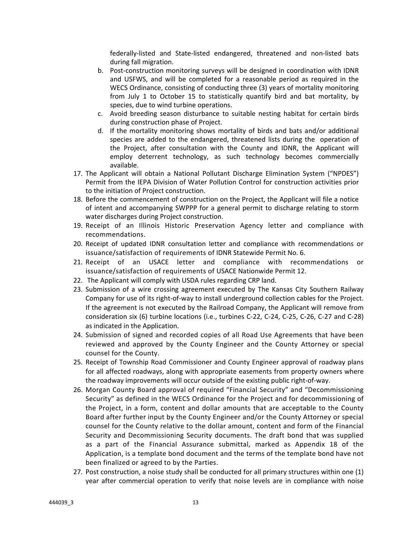federally‐listed and State‐listed endangered, threatened and non‐listed bats during fall migration.

- b. Post‐construction monitoring surveys will be designed in coordination with IDNR and USFWS, and will be completed for a reasonable period as required in the WECS Ordinance, consisting of conducting three (3) years of mortality monitoring from July 1 to October 15 to statistically quantify bird and bat mortality, by species, due to wind turbine operations.
- c. Avoid breeding season disturbance to suitable nesting habitat for certain birds during construction phase of Project.
- d. If the mortality monitoring shows mortality of birds and bats and/or additional species are added to the endangered, threatened lists during the operation of the Project, after consultation with the County and IDNR, the Applicant will employ deterrent technology, as such technology becomes commercially available.
- 17. The Applicant will obtain a National Pollutant Discharge Elimination System ("NPDES") Permit from the IEPA Division of Water Pollution Control for construction activities prior to the initiation of Project construction.
- 18. Before the commencement of construction on the Project, the Applicant will file a notice of intent and accompanying SWPPP for a general permit to discharge relating to storm water discharges during Project construction.
- 19. Receipt of an Illinois Historic Preservation Agency letter and compliance with recommendations.
- 20. Receipt of updated IDNR consultation letter and compliance with recommendations or issuance/satisfaction of requirements of IDNR Statewide Permit No. 6.
- 21. Receipt of an USACE letter and compliance with recommendations or issuance/satisfaction of requirements of USACE Nationwide Permit 12.
- 22. The Applicant will comply with USDA rules regarding CRP land.
- 23. Submission of a wire crossing agreement executed by The Kansas City Southern Railway Company for use of its right‐of‐way to install underground collection cables for the Project. If the agreement is not executed by the Railroad Company, the Applicant will remove from consideration six (6) turbine locations (i.e., turbines C‐22, C‐24, C‐25, C‐26, C‐27 and C‐28) as indicated in the Application.
- 24. Submission of signed and recorded copies of all Road Use Agreements that have been reviewed and approved by the County Engineer and the County Attorney or special counsel for the County.
- 25. Receipt of Township Road Commissioner and County Engineer approval of roadway plans for all affected roadways, along with appropriate easements from property owners where the roadway improvements will occur outside of the existing public right‐of‐way.
- 26. Morgan County Board approval of required "Financial Security" and "Decommissioning Security" as defined in the WECS Ordinance for the Project and for decommissioning of the Project, in a form, content and dollar amounts that are acceptable to the County Board after further input by the County Engineer and/or the County Attorney or special counsel for the County relative to the dollar amount, content and form of the Financial Security and Decommissioning Security documents. The draft bond that was supplied as a part of the Financial Assurance submittal, marked as Appendix 18 of the Application, is a template bond document and the terms of the template bond have not been finalized or agreed to by the Parties.
- 27. Post construction, a noise study shall be conducted for all primary structures within one (1) year after commercial operation to verify that noise levels are in compliance with noise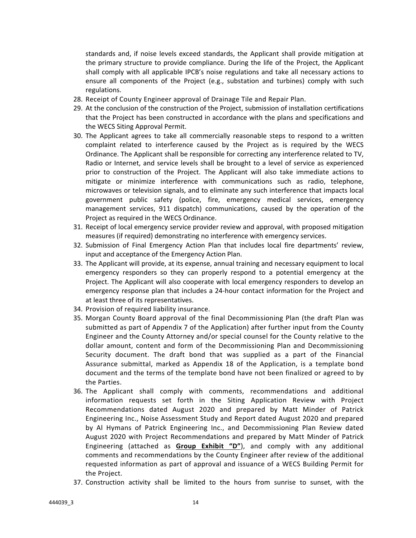standards and, if noise levels exceed standards, the Applicant shall provide mitigation at the primary structure to provide compliance. During the life of the Project, the Applicant shall comply with all applicable IPCB's noise regulations and take all necessary actions to ensure all components of the Project (e.g., substation and turbines) comply with such regulations.

- 28. Receipt of County Engineer approval of Drainage Tile and Repair Plan.
- 29. At the conclusion of the construction of the Project, submission of installation certifications that the Project has been constructed in accordance with the plans and specifications and the WECS Siting Approval Permit.
- 30. The Applicant agrees to take all commercially reasonable steps to respond to a written complaint related to interference caused by the Project as is required by the WECS Ordinance. The Applicant shall be responsible for correcting any interference related to TV, Radio or Internet, and service levels shall be brought to a level of service as experienced prior to construction of the Project. The Applicant will also take immediate actions to mitigate or minimize interference with communications such as radio, telephone, microwaves or television signals, and to eliminate any such interference that impacts local government public safety (police, fire, emergency medical services, emergency management services, 911 dispatch) communications, caused by the operation of the Project as required in the WECS Ordinance.
- 31. Receipt of local emergency service provider review and approval, with proposed mitigation measures (if required) demonstrating no interference with emergency services.
- 32. Submission of Final Emergency Action Plan that includes local fire departments' review, input and acceptance of the Emergency Action Plan.
- 33. The Applicant will provide, at its expense, annual training and necessary equipment to local emergency responders so they can properly respond to a potential emergency at the Project. The Applicant will also cooperate with local emergency responders to develop an emergency response plan that includes a 24‐hour contact information for the Project and at least three of its representatives.
- 34. Provision of required liability insurance.
- 35. Morgan County Board approval of the final Decommissioning Plan (the draft Plan was submitted as part of Appendix 7 of the Application) after further input from the County Engineer and the County Attorney and/or special counsel for the County relative to the dollar amount, content and form of the Decommissioning Plan and Decommissioning Security document. The draft bond that was supplied as a part of the Financial Assurance submittal, marked as Appendix 18 of the Application, is a template bond document and the terms of the template bond have not been finalized or agreed to by the Parties.
- 36. The Applicant shall comply with comments, recommendations and additional information requests set forth in the Siting Application Review with Project Recommendations dated August 2020 and prepared by Matt Minder of Patrick Engineering Inc., Noise Assessment Study and Report dated August 2020 and prepared by Al Hymans of Patrick Engineering Inc., and Decommissioning Plan Review dated August 2020 with Project Recommendations and prepared by Matt Minder of Patrick Engineering (attached as **Group Exhibit "D"**), and comply with any additional comments and recommendations by the County Engineer after review of the additional requested information as part of approval and issuance of a WECS Building Permit for the Project.
- 37. Construction activity shall be limited to the hours from sunrise to sunset, with the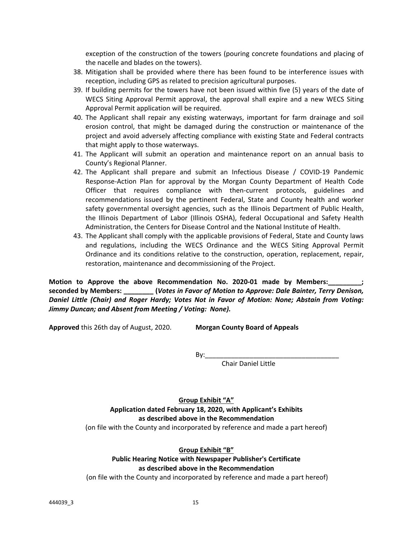exception of the construction of the towers (pouring concrete foundations and placing of the nacelle and blades on the towers).

- 38. Mitigation shall be provided where there has been found to be interference issues with reception, including GPS as related to precision agricultural purposes.
- 39. If building permits for the towers have not been issued within five (5) years of the date of WECS Siting Approval Permit approval, the approval shall expire and a new WECS Siting Approval Permit application will be required.
- 40. The Applicant shall repair any existing waterways, important for farm drainage and soil erosion control, that might be damaged during the construction or maintenance of the project and avoid adversely affecting compliance with existing State and Federal contracts that might apply to those waterways.
- 41. The Applicant will submit an operation and maintenance report on an annual basis to County's Regional Planner.
- 42. The Applicant shall prepare and submit an Infectious Disease / COVID-19 Pandemic Response‐Action Plan for approval by the Morgan County Department of Health Code Officer that requires compliance with then-current protocols, guidelines and recommendations issued by the pertinent Federal, State and County health and worker safety governmental oversight agencies, such as the Illinois Department of Public Health, the Illinois Department of Labor (Illinois OSHA), federal Occupational and Safety Health Administration, the Centers for Disease Control and the National Institute of Health.
- 43. The Applicant shall comply with the applicable provisions of Federal, State and County laws and regulations, including the WECS Ordinance and the WECS Siting Approval Permit Ordinance and its conditions relative to the construction, operation, replacement, repair, restoration, maintenance and decommissioning of the Project.

**Motion to Approve the above Recommendation No. 2020‐01 made by Members:\_\_\_\_\_\_\_\_\_; seconded by Members: \_\_\_\_\_\_\_\_ (***Votes in Favor of Motion to Approve: Dale Bainter, Terry Denison, Daniel Little (Chair) and Roger Hardy; Votes Not in Favor of Motion: None; Abstain from Voting: Jimmy Duncan; and Absent from Meeting / Voting: None).*

**Approved** this 26th day of August, 2020. **Morgan County Board of Appeals** 

 $By:$ 

Chair Daniel Little

**Group Exhibit "A" Application dated February 18, 2020, with Applicant's Exhibits as described above in the Recommendation**

(on file with the County and incorporated by reference and made a part hereof)

### **Group Exhibit "B"**

# **Public Hearing Notice with Newspaper Publisher's Certificate as described above in the Recommendation**

(on file with the County and incorporated by reference and made a part hereof)